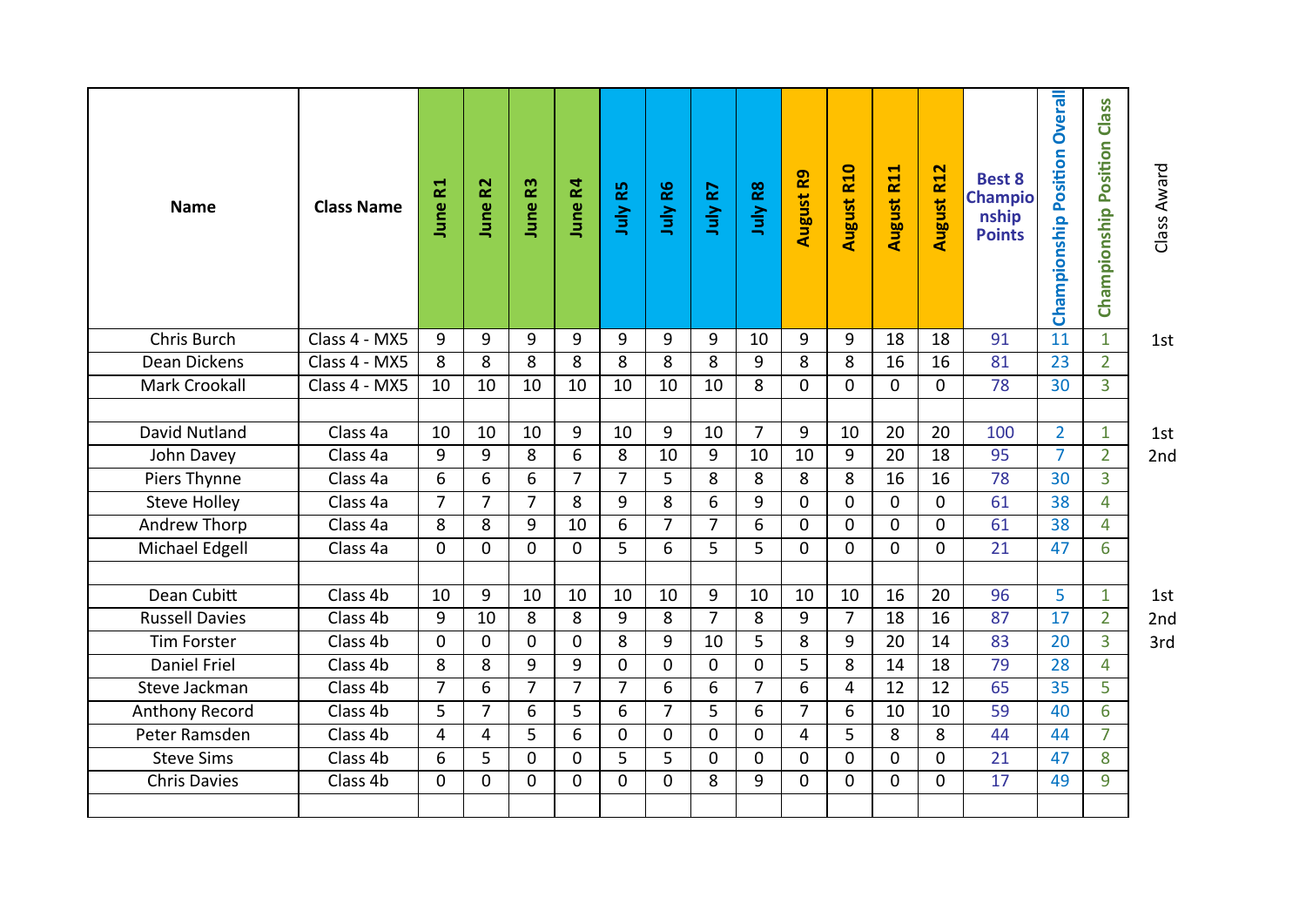| <b>Name</b>           | <b>Class Name</b> | <b>June R1</b>  | June R <sub>2</sub> | <b>June R3</b> | June R4        | July R5         | July R6        | R7<br>July     | July R8        | <b>August R9</b> | <b>August R10</b> | August R11   | <b>August R12</b> | <b>Best 8</b><br><b>Champio</b><br>nship<br><b>Points</b> | Championship Position Overall | Championship Position Class | Class Award |
|-----------------------|-------------------|-----------------|---------------------|----------------|----------------|-----------------|----------------|----------------|----------------|------------------|-------------------|--------------|-------------------|-----------------------------------------------------------|-------------------------------|-----------------------------|-------------|
| Chris Burch           | Class 4 - MX5     | 9               | 9                   | 9              | 9              | 9               | 9              | 9              | 10             | 9                | 9                 | 18           | 18                | 91                                                        | 11                            | $\mathbf{1}$                | 1st         |
| Dean Dickens          | Class 4 - MX5     | 8               | 8                   | 8              | 8              | 8               | 8              | 8              | 9              | 8                | 8                 | 16           | 16                | 81                                                        | 23                            | $\overline{2}$              |             |
| Mark Crookall         | Class 4 - MX5     | 10              | 10                  | 10             | 10             | 10              | 10             | 10             | 8              | $\mathbf{0}$     | $\mathbf 0$       | $\mathbf 0$  | 0                 | 78                                                        | 30                            | 3                           |             |
| David Nutland         | Class 4a          | 10              | 10                  | 10             | 9              | 10              | 9              | 10             | $\overline{7}$ | 9                | 10                | 20           | 20                | 100                                                       |                               |                             |             |
|                       |                   |                 |                     |                |                |                 |                |                |                |                  |                   |              |                   |                                                           | $\overline{2}$                | $\mathbf{1}$                | 1st         |
| John Davey            | Class 4a          | 9               | 9                   | 8              | 6              | 8               | 10             | 9              | 10             | 10               | 9                 | 20           | 18                | 95                                                        | $\overline{7}$                | $\overline{2}$              | 2nd         |
| Piers Thynne          | Class 4a          | 6               | 6                   | 6              | 7              | 7               | 5              | 8              | 8              | 8                | 8                 | 16           | 16                | 78                                                        | 30                            | 3                           |             |
| <b>Steve Holley</b>   | Class 4a          | $\overline{7}$  | $\overline{7}$      | $\overline{7}$ | 8              | 9               | 8              | 6              | 9              | $\mathbf 0$      | $\mathbf 0$       | $\mathbf 0$  | $\mathbf 0$       | 61                                                        | 38                            | $\overline{4}$              |             |
| <b>Andrew Thorp</b>   | Class 4a          | $8\overline{8}$ | 8                   | 9              | 10             | $6\overline{6}$ | $\overline{7}$ | $\overline{7}$ | $\overline{6}$ | $\mathbf 0$      | $\mathbf 0$       | $\mathbf{0}$ | $\mathbf 0$       | 61                                                        | 38                            | $\overline{4}$              |             |
| Michael Edgell        | Class 4a          | $\mathbf 0$     | 0                   | $\mathbf 0$    | 0              | 5               | 6              | 5              | 5              | $\mathbf 0$      | $\mathbf 0$       | $\mathbf 0$  | $\mathbf 0$       | 21                                                        | 47                            | 6                           |             |
| Dean Cubitt           | Class 4b          | 10              | 9                   | 10             | 10             | 10              | 10             | 9              | 10             | 10               | 10                | 16           | 20                | 96                                                        | 5                             | $\mathbf{1}$                | 1st         |
| <b>Russell Davies</b> | Class 4b          | 9               | 10                  | 8              | 8              | 9               | 8              | $\overline{7}$ | 8              | 9                | $\overline{7}$    | 18           | 16                | 87                                                        | 17                            | $\overline{2}$              | 2nd         |
| <b>Tim Forster</b>    | Class 4b          | $\mathbf 0$     | $\mathbf 0$         | $\mathbf 0$    | $\mathbf 0$    | 8               | 9              | 10             | 5              | 8                | 9                 | 20           | 14                | 83                                                        | 20                            | $\overline{3}$              | 3rd         |
| <b>Daniel Friel</b>   | Class 4b          | 8               | 8                   | 9              | 9              | $\mathbf 0$     | $\mathbf 0$    | 0              | 0              | 5                | 8                 | 14           | 18                | 79                                                        | 28                            | $\overline{4}$              |             |
| Steve Jackman         | Class 4b          | $\overline{7}$  | 6                   | $\overline{7}$ | 7              | $\overline{7}$  | 6              | 6              | $\overline{7}$ | $\overline{6}$   | $\overline{4}$    | 12           | 12                | 65                                                        | 35                            | 5                           |             |
| <b>Anthony Record</b> | Class 4b          | $\overline{5}$  | $\overline{7}$      | 6              | $\overline{5}$ | 6               | $\overline{7}$ | $\overline{5}$ | 6              | $\overline{7}$   | 6                 | 10           | 10                | 59                                                        | 40                            | $6\overline{6}$             |             |
| Peter Ramsden         | Class 4b          | 4               | 4                   | 5              | 6              | $\mathbf 0$     | $\Omega$       | 0              | $\mathbf{0}$   | 4                | 5                 | 8            | 8                 | 44                                                        | 44                            | $\overline{7}$              |             |
| <b>Steve Sims</b>     | Class 4b          | 6               | 5                   | 0              | 0              | 5               | 5              | 0              | 0              | 0                | $\mathbf 0$       | $\mathbf 0$  | 0                 | 21                                                        | 47                            | 8                           |             |
| <b>Chris Davies</b>   | Class 4b          | $\mathbf 0$     | $\mathbf 0$         | $\mathbf 0$    | $\mathbf 0$    | $\mathbf 0$     | $\Omega$       | 8              | 9              | $\mathbf 0$      | $\mathbf 0$       | $\mathbf 0$  | $\mathbf 0$       | $\overline{17}$                                           | 49                            | 9                           |             |
|                       |                   |                 |                     |                |                |                 |                |                |                |                  |                   |              |                   |                                                           |                               |                             |             |
|                       |                   |                 |                     |                |                |                 |                |                |                |                  |                   |              |                   |                                                           |                               |                             |             |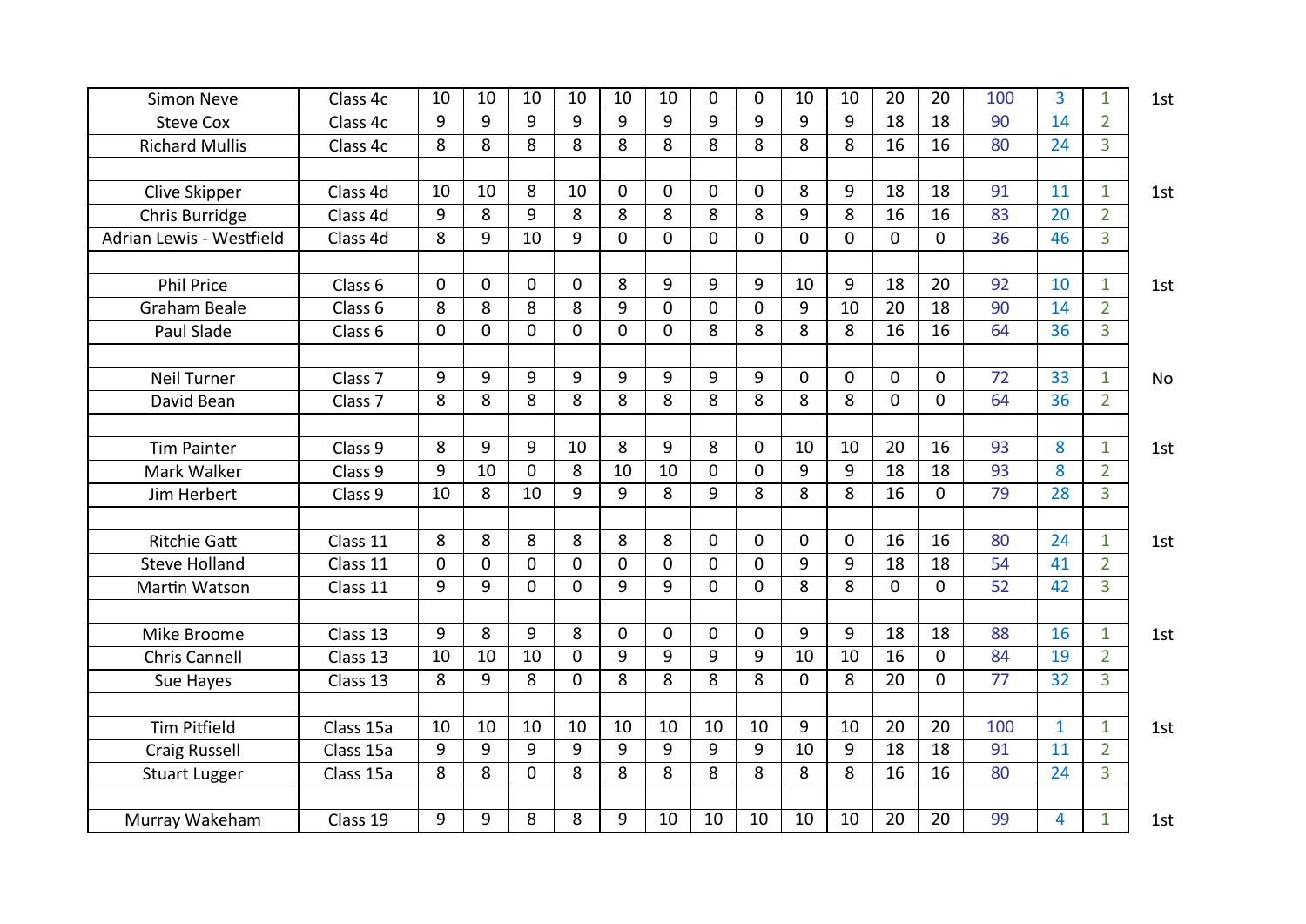| <b>Simon Neve</b>        | Class 4c           | 10          | 10          | 10          | 10          | 10           | 10             | $\Omega$    | $\mathbf 0$    | 10             | 10             | 20          | 20             | 100             | $\overline{3}$ | $\mathbf{1}$   | 1st |
|--------------------------|--------------------|-------------|-------------|-------------|-------------|--------------|----------------|-------------|----------------|----------------|----------------|-------------|----------------|-----------------|----------------|----------------|-----|
| <b>Steve Cox</b>         | Class 4c           | 9           | 9           | 9           | 9           | 9            | 9              | 9           | 9              | 9              | 9              | 18          | 18             | 90              | 14             | $\overline{2}$ |     |
| <b>Richard Mullis</b>    | Class 4c           | 8           | 8           | 8           | 8           | 8            | 8              | 8           | 8              | 8              | 8              | 16          | 16             | 80              | 24             | $\overline{3}$ |     |
|                          |                    |             |             |             |             |              |                |             |                |                |                |             |                |                 |                |                |     |
| Clive Skipper            | Class 4d           | 10          | 10          | 8           | 10          | $\mathbf{0}$ | $\Omega$       | $\Omega$    | $\overline{0}$ | 8              | 9              | 18          | 18             | 91              | 11             | $\mathbf{1}$   | 1st |
| Chris Burridge           | Class 4d           | 9           | 8           | 9           | 8           | 8            | 8              | 8           | 8              | 9              | 8              | 16          | 16             | 83              | 20             | $\overline{2}$ |     |
| Adrian Lewis - Westfield | Class 4d           | 8           | 9           | 10          | 9           | 0            | $\overline{0}$ | $\Omega$    | $\overline{0}$ | $\overline{0}$ | 0              | $\mathbf 0$ | $\overline{0}$ | 36              | 46             | $\overline{3}$ |     |
|                          |                    |             |             |             |             |              |                |             |                |                |                |             |                |                 |                |                |     |
| <b>Phil Price</b>        | Class 6            | $\mathbf 0$ | 0           | $\mathbf 0$ | $\mathbf 0$ | 8            | 9              | 9           | 9              | 10             | 9              | 18          | 20             | 92              | 10             | $\mathbf{1}$   | 1st |
| Graham Beale             | Class 6            | 8           | 8           | 8           | 8           | 9            | $\overline{0}$ | $\mathbf 0$ | 0              | 9              | 10             | 20          | 18             | 90              | 14             | $\overline{2}$ |     |
| Paul Slade               | Class 6            | $\mathbf 0$ | $\Omega$    | 0           | $\Omega$    | $\Omega$     | $\mathbf{0}$   | 8           | 8              | 8              | 8              | 16          | 16             | 64              | 36             | $\overline{3}$ |     |
|                          |                    |             |             |             |             |              |                |             |                |                |                |             |                |                 |                |                |     |
| <b>Neil Turner</b>       | Class <sub>7</sub> | 9           | 9           | 9           | 9           | 9            | 9              | 9           | 9              | $\Omega$       | 0              | 0           | $\mathbf 0$    | 72              | 33             | $\mathbf{1}$   | No  |
| David Bean               | Class <sub>7</sub> | 8           | 8           | 8           | 8           | 8            | 8              | 8           | 8              | 8              | 8              | $\Omega$    | $\Omega$       | 64              | 36             | $\overline{2}$ |     |
|                          |                    |             |             |             |             |              |                |             |                |                |                |             |                |                 |                |                |     |
| <b>Tim Painter</b>       | Class 9            | 8           | 9           | 9           | 10          | 8            | 9              | 8           | $\mathbf 0$    | 10             | 10             | 20          | 16             | 93              | 8              | $\mathbf{1}$   | 1st |
| Mark Walker              | Class 9            | 9           | 10          | 0           | 8           | 10           | 10             | $\mathbf 0$ | $\mathbf 0$    | 9              | 9              | 18          | 18             | 93              | 8              | $\overline{2}$ |     |
| Jim Herbert              | Class 9            | 10          | 8           | 10          | 9           | 9            | 8              | 9           | 8              | 8              | 8              | 16          | $\mathbf 0$    | 79              | 28             | $\overline{3}$ |     |
|                          |                    |             |             |             |             |              |                |             |                |                |                |             |                |                 |                |                |     |
| <b>Ritchie Gatt</b>      | Class 11           | 8           | 8           | 8           | 8           | 8            | 8              | $\mathbf 0$ | 0              | $\mathbf 0$    | 0              | 16          | 16             | 80              | 24             | $\mathbf{1}$   | 1st |
| <b>Steve Holland</b>     | Class 11           | $\mathbf 0$ | $\mathbf 0$ | $\mathbf 0$ | $\mathbf 0$ | $\mathbf 0$  | $\mathbf 0$    | $\mathbf 0$ | 0              | 9              | 9              | 18          | 18             | 54              | 41             | $\overline{2}$ |     |
| Martin Watson            | Class 11           | 9           | 9           | $\mathbf 0$ | $\mathbf 0$ | 9            | 9              | $\mathbf 0$ | $\mathbf 0$    | $\overline{8}$ | $\overline{8}$ | $\mathbf 0$ | 0              | 52              | 42             | $\overline{3}$ |     |
|                          |                    |             |             |             |             |              |                |             |                |                |                |             |                |                 |                |                |     |
| Mike Broome              | Class 13           | 9           | 8           | 9           | 8           | $\mathbf 0$  | $\mathbf 0$    | $\mathbf 0$ | $\mathbf 0$    | 9              | 9              | 18          | 18             | 88              | 16             | $\mathbf{1}$   | 1st |
| <b>Chris Cannell</b>     | Class 13           | 10          | 10          | 10          | $\Omega$    | 9            | 9              | 9           | 9              | 10             | 10             | 16          | $\mathbf 0$    | 84              | 19             | $\overline{2}$ |     |
| Sue Hayes                | Class 13           | 8           | 9           | 8           | $\mathbf 0$ | 8            | 8              | 8           | 8              | $\mathbf 0$    | 8              | 20          | $\mathbf{0}$   | $\overline{77}$ | 32             | $\overline{3}$ |     |
|                          |                    |             |             |             |             |              |                |             |                |                |                |             |                |                 |                |                |     |
| <b>Tim Pitfield</b>      | Class 15a          | 10          | 10          | 10          | 10          | 10           | 10             | 10          | 10             | 9              | 10             | 20          | 20             | 100             | $\mathbf{1}$   | $\mathbf{1}$   | 1st |
| <b>Craig Russell</b>     | Class 15a          | 9           | 9           | 9           | 9           | 9            | 9              | 9           | 9              | 10             | 9              | 18          | 18             | 91              | 11             | $\overline{2}$ |     |
| <b>Stuart Lugger</b>     | Class 15a          | 8           | 8           | $\mathbf 0$ | 8           | 8            | 8              | 8           | 8              | 8              | 8              | 16          | 16             | 80              | 24             | $\overline{3}$ |     |
|                          |                    |             |             |             |             |              |                |             |                |                |                |             |                |                 |                |                |     |
| Murray Wakeham           | Class 19           | 9           | 9           | 8           | 8           | 9            | 10             | 10          | 10             | 10             | 10             | 20          | 20             | 99              | $\overline{4}$ | $\mathbf{1}$   | 1st |